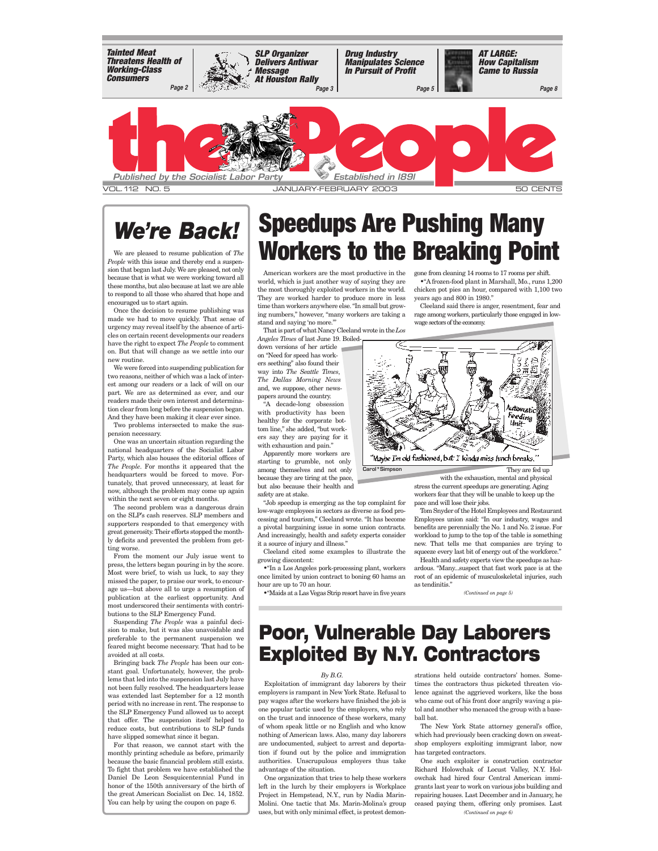

# *We're Back!*

*People* with this issue and thereby end a suspension that began last July. We are pleased, not only because that is what we were working toward all these months, but also because at last we are able to respond to all those who shared that hope and encouraged us to start again.

Once the decision to resume publishing was made we had to move quickly. That sense of urgency may reveal itself by the absence of articles on certain recent developments our readers have the right to expect *The People* to comment on. But that will change as we settle into our new routine.

We were forced into suspending publication for two reasons, neither of which was a lack of interest among our readers or a lack of will on our part. We are as determined as ever, and our readers made their own interest and determination clear from long before the suspension began. And they have been making it clear ever since.

Two problems intersected to make the suspension necessary.

One was an uncertain situation regarding the national headquarters of the Socialist Labor Party, which also houses the editorial offices of *The People*. For months it appeared that the headquarters would be forced to move. Fortunately, that proved unnecessary, at least for now, although the problem may come up again within the next seven or eight months.

The second problem was a dangerous drain on the SLP's cash reserves. SLP members and supporters responded to that emergency with great generosity. Their efforts stopped the monthly deficits and prevented the problem from getting worse.

From the moment our July issue went to press, the letters began pouring in by the score. Most were brief, to wish us luck, to say they missed the paper, to praise our work, to encourage us—but above all to urge a resumption of publication at the earliest opportunity. And most underscored their sentiments with contributions to the SLP Emergency Fund.

Suspending *The People* was a painful decision to make, but it was also unavoidable and preferable to the permanent suspension we feared might become necessary. That had to be avoided at all costs.

Bringing back *The People* has been our constant goal. Unfortunately, however, the problems that led into the suspension last July have not been fully resolved. The headquarters lease was extended last September for a 12 month period with no increase in rent. The response to the SLP Emergency Fund allowed us to accept that offer. The suspension itself helped to reduce costs, but contributions to SLP funds have slipped somewhat since it began.

For that reason, we cannot start with the monthly printing schedule as before, primarily because the basic financial problem still exists. To fight that problem we have established the Daniel De Leon Sesquicentennial Fund in honor of the 150th anniversary of the birth of the great American Socialist on Dec. 14, 1852. You can help by using the coupon on page 6.

# **Speedups Are Pushing Many**  Workers **Example publication of** *The* Workers to the Breaking Point

American workers are the most productive in the world, which is just another way of saying they are the most thoroughly exploited workers in the world. They are worked harder to produce more in less time than workers anywhere else. "In small but growing numbers," however, "many workers are taking a stand and saying 'no more."

That is part of what Nancy Cleeland wrote in the *Los Angeles Times* of last June 19. Boiled-

down versions of her article on "Need for speed has workers seething" also found their way into *The Seattle Times*, *The Dallas Morning News* and, we suppose, other newspapers around the country.

"A decade-long obsession with productivity has been healthy for the corporate bottom line," she added, "but workers say they are paying for it with exhaustion and pain."

Apparently more workers are starting to grumble, not only among themselves and not only because they are tiring at the pace, but also because their health and safety are at stake.

"Job speedup is emerging as the top complaint for low-wage employees in sectors as diverse as food processing and tourism," Cleeland wrote. "It has become a pivotal bargaining issue in some union contracts. And increasingly, health and safety experts consider it a source of injury and illness."

Cleeland cited some examples to illustrate the growing discontent:

•"In a Los Angeles pork-processing plant, workers once limited by union contract to boning 60 hams an hour are up to 70 an hour. •"Maids at a Las Vegas Strip resort have in five years gone from cleaning 14 rooms to 17 rooms per shift. •"A frozen-food plant in Marshall, Mo., runs 1,200 chicken pot pies an hour, compared with 1,100 two years ago and 800 in 1980."

Cleeland said there is anger, resentment, fear and rage among workers, particularly those engaged in lowwage sectors of the economy.



"Maybe I'm old fashioned, but I kinda miss Junch breaks.

They are fed up

with the exhaustion, mental and physical stress the current speedups are generating. Aging workers fear that they will be unable to keep up the pace and will lose their jobs.

Tom Snyder of the Hotel Employees and Restaurant Employees union said: "In our industry, wages and benefits are perennially the No. 1 and No. 2 issue. For workload to jump to the top of the table is something new. That tells me that companies are trying to squeeze every last bit of energy out of the workforce."

Health and safety experts view the speedups as hazardous. "Many...suspect that fast work pace is at the root of an epidemic of musculoskeletal injuries, such as tendinitis."

*(Continued on page 5)*

## **Poor, Vulnerable Day Laborers Exploited By N.Y. Contractors**

**Carol\*Simpson**

#### *By B.G.*

Exploitation of immigrant day laborers by their employers is rampant in New York State. Refusal to pay wages after the workers have finished the job is one popular tactic used by the employers, who rely on the trust and innocence of these workers, many of whom speak little or no English and who know nothing of American laws. Also, many day laborers are undocumented, subject to arrest and deportation if found out by the police and immigration authorities. Unscrupulous employers thus take advantage of the situation.

One organization that tries to help these workers left in the lurch by their employers is Workplace Project in Hempstead, N.Y., run by Nadia Marin-Molini. One tactic that Ms. Marin-Molina's group uses, but with only minimal effect, is protest demon-

strations held outside contractors' homes. Sometimes the contractors thus picketed threaten violence against the aggrieved workers, like the boss who came out of his front door angrily waving a pistol and another who menaced the group with a baseball bat.

The New York State attorney general's office, which had previously been cracking down on sweatshop employers exploiting immigrant labor, now has targeted contractors.

One such exploiter is construction contractor Richard Holowchak of Locust Valley, N.Y. Holowchak had hired four Central American immigrants last year to work on various jobs building and repairing houses. Last December and in January, he ceased paying them, offering only promises. Last *(Continued on page 6)*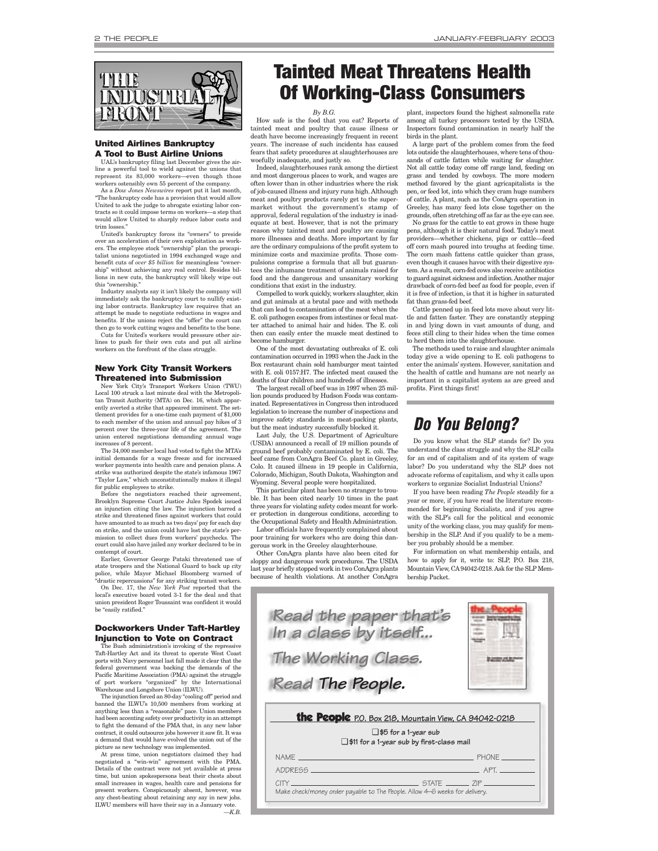<span id="page-1-0"></span>

#### **United Airlines Bankruptcy A Tool to Bust Airline Unions**

UAL's bankruptcy filing last December gives the airline a powerful tool to wield against the unions that represent its 83,000 workers—even though those workers ostensibly own 55 percent of the company.

As a *Dow Jones Newswires* report put it last month, "The bankruptcy code has a provision that would allow United to ask the judge to abrogate existing labor contracts so it could impose terms on workers—a step that would allow United to sharply reduce labor costs and trim losses."

United's bankruptcy forces its "owners" to preside over an acceleration of their own exploitation as workers. The employee stock "ownership" plan the procapitalist unions negotiated in 1994 exchanged wage and benefit cuts of *over \$5 billion* for meaningless "ownership" without achieving any real control. Besides billions in new cuts, the bankruptcy will likely wipe out this "ownership."

Industry analysts say it isn't likely the company will immediately ask the bankruptcy court to nullify existing labor contracts. Bankruptcy law requires that an attempt be made to negotiate reductions in wages and benefits. If the unions reject the "offer" the court can then go to work cutting wages and benefits to the bone.

Cuts for United's workers would pressure other airlines to push for their own cuts and put all airline workers on the forefront of the class struggle.

#### **New York City Transit Workers Threatened into Submission**

New York City's Transport Workers Union (TWU) Local 100 struck a last minute deal with the Metropolitan Transit Authority (MTA) on Dec. 16, which appar-ently averted a strike that appeared imminent. The settlement provides for a one-time cash payment of \$1,000 to each member of the union and annual pay hikes of 3 percent over the three-year life of the agreement. The union entered negotiations demanding annual wage increases of 8 percent.

The 34,000 member local had voted to fight the MTA's initial demands for a wage freeze and for increased worker payments into health care and pension plans. A strike was authorized despite the state's infamous 1967 "Taylor Law," which unconstitutionally makes it illegal for public employees to strike.

Before the negotiators reached their agreement, Brooklyn Supreme Court Justice Jules Spodek issued an injunction citing the law. The injunction barred a strike and threatened fines against workers that could have amounted to as much as two days' pay for each day on strike, and the union could have lost the state's permission to collect dues from workers' paychecks. The court could also have jailed any worker declared to be in

contempt of court. Earlier, Governor George Pataki threatened use of state troopers and the National Guard to back up city police, while Mayor Michael Bloomberg warned of "drastic repercussions" for any striking transit workers.

On Dec. 17, the *New York Post* reported that the local's executive board voted 3-1 for the deal and that union president Roger Toussaint was confident it would be "easily ratified."

#### **Dockworkers Under Taft-Hartley Injunction to Vote on Contract**

The Bush administration's invoking of the repressive Taft-Hartley Act and its threat to operate West Coast ports with Navy personnel last fall made it clear that the federal government was backing the demands of the Pacific Maritime Association (PMA) against the struggle of port workers "organized" by the International Warehouse and Longshore Union (ILWU).

The injunction forced an 80-day "cooling off" period and banned the ILWU's 10,500 members from working at anything less than a "reasonable" pace. Union members had been accenting safety over productivity in an attempt to fight the demand of the PMA that, in any new labor contract, it could outsource jobs however it saw fit. It was a demand that would have evolved the union out of the picture as new technology was implemented.

At press time, union negotiators claimed they had negotiated a "win-win" agreement with the PMA. Details of the contract were not yet available at press time, but union spokespersons beat their chests about small increases in wages, health care and pensions for present workers. Conspicuously absent, however, was any chest-beating about retaining any say in new jobs. ILWU members will have their say in a January vote. *—K.B.*

### **Tainted Meat Threatens Health Of Working-Class Consumers**

*By B.G.* How safe is the food that you eat? Reports of tainted meat and poultry that cause illness or death have become increasingly frequent in recent years. The increase of such incidents has caused fears that safety procedures at slaughterhouses are woefully inadequate, and justly so.

Indeed, slaughterhouses rank among the dirtiest and most dangerous places to work, and wages are often lower than in other industries where the risk of job-caused illness and injury runs high. Although meat and poultry products rarely get to the supermarket without the government's stamp of approval, federal regulation of the industry is inadequate at best. However, that is not the primary reason why tainted meat and poultry are causing more illnesses and deaths. More important by far are the ordinary compulsions of the profit system to minimize costs and maximize profits. Those compulsions comprise a formula that all but guarantees the inhumane treatment of animals raised for food and the dangerous and unsanitary working conditions that exist in the industry.

Compelled to work quickly, workers slaughter, skin and gut animals at a brutal pace and with methods that can lead to contamination of the meat when the E. coli pathogen escapes from intestines or fecal matter attached to animal hair and hides. The E. coli then can easily enter the muscle meat destined to become hamburger.

One of the most devastating outbreaks of E. coli contamination occurred in 1993 when the Jack in the Box restaurant chain sold hamburger meat tainted with E. coli 0157:H7. The infected meat caused the deaths of four children and hundreds of illnesses.

The largest recall of beef was in 1997 when 25 million pounds produced by Hudson Foods was contaminated. Representatives in Congress then introduced legislation to increase the number of inspections and improve safety standards in meat-packing plants, but the meat industry successfully blocked it.

Last July, the U.S. Department of Agriculture (USDA) announced a recall of 19 million pounds of ground beef probably contaminated by E. coli. The beef came from ConAgra Beef Co. plant in Greeley, Colo. It caused illness in 19 people in California, Colorado, Michigan, South Dakota, Washington and

Wyoming. Several people were hospitalized. This particular plant has been no stranger to trouble. It has been cited nearly 10 times in the past three years for violating safety codes meant for worker protection in dangerous conditions, according to the Occupational Safety and Health Administration. Labor officials have frequently complained about

poor training for workers who are doing this dangerous work in the Greeley slaughterhouse. Other ConAgra plants have also been cited for

sloppy and dangerous work procedures. The USDA last year briefly stopped work in two ConAgra plants because of health violations. At another ConAgra

plant, inspectors found the highest salmonella rate among all turkey processors tested by the USDA. Inspectors found contamination in nearly half the birds in the plant.

A large part of the problem comes from the feed lots outside the slaughterhouses, where tens of thousands of cattle fatten while waiting for slaughter. Not all cattle today come off range land, feeding on grass and tended by cowboys. The more modern method favored by the giant agricapitalists is the pen, or feed lot, into which they cram huge numbers of cattle. A plant, such as the ConAgra operation in Greeley, has many feed lots close together on the grounds, often stretching off as far as the eye can see.

No grass for the cattle to eat grows in these huge pens, although it is their natural food. Today's meat providers—whether chickens, pigs or cattle—feed off corn mash poured into troughs at feeding time. The corn mash fattens cattle quicker than grass, even though it causes havoc with their digestive system. As a result, corn-fed cows also receive antibiotics to guard against sickness and infection. Another major drawback of corn-fed beef as food for people, even if it is free of infection, is that it is higher in saturated fat than grass-fed beef.

Cattle penned up in feed lots move about very little and fatten faster. They are constantly stepping in and lying down in vast amounts of dung, and feces still cling to their hides when the time comes to herd them into the slaughterhouse.

The methods used to raise and slaughter animals today give a wide opening to E. coli pathogens to enter the animals' system. However, sanitation and the health of cattle and humans are not nearly as important in a capitalist system as are greed and profits. First things first!

### *Do You Belong?*

Do you know what the SLP stands for? Do you understand the class struggle and why the SLP calls for an end of capitalism and of its system of wage labor? Do you understand why the SLP does not advocate reforms of capitalism, and why it calls upon workers to organize Socialist Industrial Unions?

If you have been reading *The People* steadily for a year or more, if you have read the literature recommended for beginning Socialists, and if you agree with the SLP's call for the political and economic unity of the working class, you may qualify for membership in the SLP. And if you qualify to be a member you probably should be a member.

For information on what membership entails, and how to apply for it, write to: SLP, P.O. Box 218, Mountain View, CA94042-0218. Ask for the SLP Membership Packet.

| Read the paper that's<br>In a class by itself                                                                                            |                          |  |  |  |  |
|------------------------------------------------------------------------------------------------------------------------------------------|--------------------------|--|--|--|--|
| The Working Class.                                                                                                                       |                          |  |  |  |  |
| Read The People.                                                                                                                         |                          |  |  |  |  |
| the People P.O. Box 218, Mountain View, CA 94042-0218<br>$\Box$ \$5 for a 1-year sub<br>$\Box$ \$11 for a 1-year sub by first-class mail |                          |  |  |  |  |
|                                                                                                                                          |                          |  |  |  |  |
| <b>NAMF</b>                                                                                                                              | <b>PHONE</b>             |  |  |  |  |
| ADDRESS_                                                                                                                                 | <b>Example 2019 APT.</b> |  |  |  |  |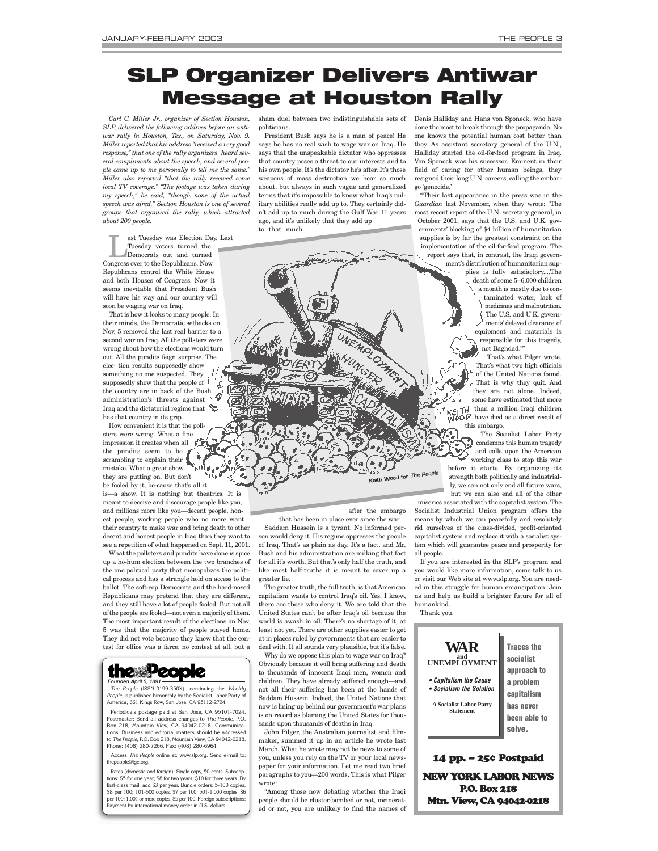# <span id="page-2-0"></span>**SLP Organizer Delivers Antiwar Message at Houston Rally**

*Carl C. Miller Jr., organizer of Section Houston, SLP, delivered the following address before an antiwar rally in Houston, Tex., on Saturday, Nov. 9. Miller reported that his address "received a very good response," that one of the rally organizers "heard several compliments about the speech, and several people came up to me personally to tell me the same." Miller also reported "that the rally received some local TV coverage." "The footage was taken during my speech," he said, "though none of the actual speech was aired." Section Houston is one of several groups that organized the rally, which attracted about 200 people.* 

ast Tuesday was Election Day. Last<br>
Tuesday voters turned the<br>
Democrats out and turned<br>
Democrats of Demoklisens New Tuesday voters turned the

Congress over to the Republicans. Now Republicans control the White House and both Houses of Congress. Now it seems inevitable that President Bush will have his way and our country will soon be waging war on Iraq.

That is how it looks to many people. In their minds, the Democratic setbacks on Nov. 5 removed the last real barrier to a second war on Iraq. All the pollsters were wrong about how the elections would turn out. All the pundits feign surprise. The elec- tion results supposedly show something no one suspected. They supposedly show that the people of the country are in back of the Bush  $\hat{c}$ administration's threats against Iraq and the dictatorial regime that  $\blacklozenge$ has that country in its grip.

How convenient it is that the pollsters were wrong. What a fine impression it creates when all the pundits seem to be scrambling to explain their mistake. What a great show they are putting on. But don't be fooled by it, be-cause that's all it

is—a show. It is nothing but theatrics. It is meant to deceive and discourage people like you, and millions more like you—decent people, honest people, working people who no more want their country to make war and bring death to other decent and honest people in Iraq than they want to see a repetition of what happened on Sept. 11, 2001.

What the pollsters and pundits have done is spice up a ho-hum election between the two branches of the one political party that monopolizes the political process and has a strangle hold on access to the ballot. The soft-cop Democrats and the hard-nosed Republicans may pretend that they are different, and they still have a lot of people fooled. But not all of the people are fooled—not even a majority of them. The most important result of the elections on Nov. 5 was that the majority of people stayed home. They did not vote because they knew that the contest for office was a farce, no contest at all, but a

#### the People *Founded April 5, 1891*

*The People* (ISSN-0199-350X), continuing the *Weekly People*, is published bimonthly by the Socialist Labor Party of erica, 661 Kings Row, San Jose, CA 95112-2724.

Periodicals postage paid at San Jose, CA 95101-7024. Postmaster: Send all address changes to *The People*, P.O. Box 218, Mountain View, CA 94042-0218. Communications: Business and editorial matters should be addressed to *The People*, P.O. Box 218, Mountain View, CA 94042-0218. Phone: (408) 280-7266. Fax: (408) 280-6964.

Access *The People* online at: www.slp.org. Send e-mail to: thepeople@igc.org

Rates (domestic and foreign): Single copy, 50 cents. Subscriptions: \$5 for one year; \$8 for two years; \$10 for three years. By first-class mail, add \$3 per year. Bundle orders: 5-100 copies, \$8 per 100; 101-500 copies, \$7 per 100; 501-1,000 copies, \$6 per 100; 1,001 or more copies, \$5 per 100. Foreign subscriptions: Payment by international money order in U.S. dollars.

sham duel between two indistinguishable sets of Denis Halliday and Hans von Sponeck, who have politicians.

President Bush says he is a man of peace! He says he has no real wish to wage war on Iraq. He says that the unspeakable dictator who oppresses that country poses a threat to our interests and to his own people. It's the dictator he's after. It's those weapons of mass destruction we hear so much about, but always in such vague and generalized terms that it's impossible to know what Iraq's military abilities really add up to. They certainly didn't add up to much during the Gulf War 11 years ago, and it's unlikely that they add up to that much

.<br>Magazin

done the most to break through the propaganda. No one knows the potential human cost better than they. As assistant secretary general of the U.N., Halliday started the oil-for-food program in Iraq. Von Sponeck was his successor. Eminent in their field of caring for other human beings, they resigned their long U.N. careers, calling the embargo 'genocide.' "Their last appearance in the press was in the

*Guardian* last November, when they wrote: 'The most recent report of the U.N. secretary general, in October 2001, says that the U.S. and U.K. governments' blocking of \$4 billion of humanitarian supplies is by far the greatest constraint on the implementation of the oil-for-food program. The report says that, in contrast, the Iraqi government's distribution of humanitarian supplies is fully satisfactory....The death of some 5–6,000 children a month is mostly due to contaminated water, lack of medicines and malnutrition. The U.S. and U.K. governments' delayed clearance of

equipment and materials is responsible for this tragedy, not Baghdad.'"

That's what Pilger wrote. That's what two high officials of the United Nations found. That is why they quit. And they are not alone. Indeed, some have estimated that more than a million Iraqi children have died as a direct result of this embargo.

The Socialist Labor Party condemns this human tragedy and calls upon the American working class to stop this war before it starts. By organizing its strength both politically and industrially, we can not only end all future wars, but we can also end all of the other

after the embargo

୍ର

**Keith Wood for** *The People*

that has been in place ever since the war. Saddam Hussein is a tyrant. No informed person would deny it. His regime oppresses the people of Iraq. That's as plain as day. It's a fact, and Mr. Bush and his administration are milking that fact for all it's worth. But that's only half the truth, and like most half-truths it is meant to cover up a greater lie.

The greater truth, the full truth, is that American capitalism wants to control Iraq's oil. Yes, I know, there are those who deny it. We are told that the United States can't be after Iraq's oil because the world is awash in oil. There's no shortage of it, at least not yet. There are other supplies easier to get at in places ruled by governments that are easier to deal with. It all sounds very plausible, but it's false.

Why do we oppose this plan to wage war on Iraq? Obviously because it will bring suffering and death to thousands of innocent Iraqi men, women and children. They have already suffered enough—and not all their suffering has been at the hands of Saddam Hussein. Indeed, the United Nations that now is lining up behind our government's war plans is on record as blaming the United States for thousands upon thousands of deaths in Iraq.

John Pilger, the Australian journalist and filmmaker, summed it up in an article he wrote last March. What he wrote may not be news to some of you, unless you rely on the TV or your local newspaper for your information. Let me read two brief paragraphs to you—200 words. This is what Pilger wrote:

"Among those now debating whether the Iraqi people should be cluster-bombed or not, incinerated or not, you are unlikely to find the names of

miseries associated with the capitalist system. The Socialist Industrial Union program offers the means by which we can peacefully and resolutely rid ourselves of the class-divided, profit-oriented capitalist system and replace it with a socialist system which will guarantee peace and prosperity for all people.

If you are interested in the SLP's program and you would like more information, come talk to us or visit our Web site at www.slp.org. You are needed in this struggle for human emancipation. Join us and help us build a brighter future for all of humankind.

Thank you.



NEW YORK LABOR NEWS P.O. Box 218 Mtn. View, CA 94042-0218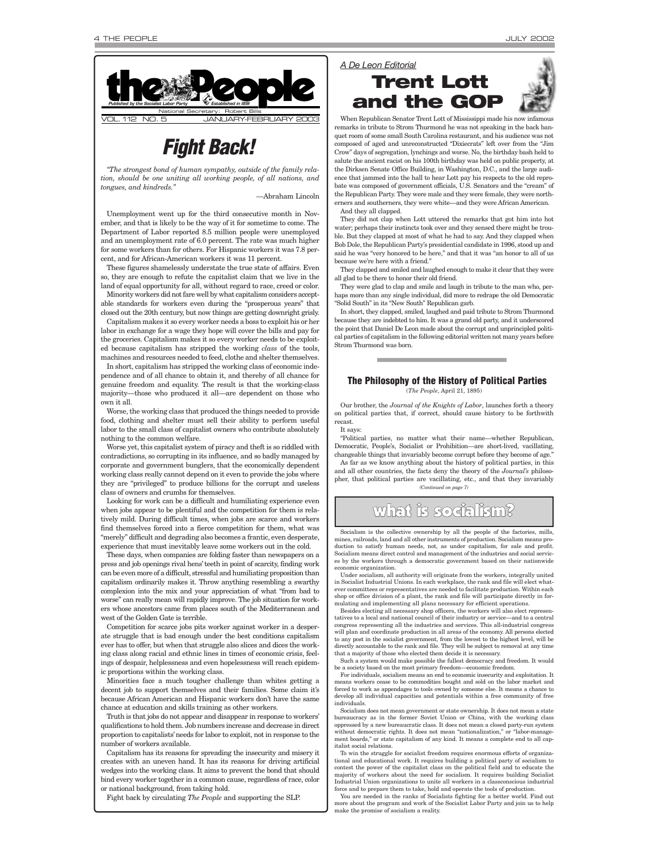

### *Fight Back!*

*"The strongest bond of human sympathy, outside of the family relation, should be one uniting all working people, of all nations, and tongues, and kindreds."*

—Abraham Lincoln

Unemployment went up for the third consecutive month in November, and that is likely to be the way of it for sometime to come. The Department of Labor reported 8.5 million people were unemployed and an unemployment rate of 6.0 percent. The rate was much higher for some workers than for others. For Hispanic workers it was 7.8 percent, and for African-American workers it was 11 percent.

These figures shamelessly understate the true state of affairs. Even so, they are enough to refute the capitalist claim that we live in the land of equal opportunity for all, without regard to race, creed or color.

Minority workers did not fare well by what capitalism considers acceptable standards for workers even during the "prosperous years" that closed out the 20th century, but now things are getting downright grisly.

Capitalism makes it so every worker needs a boss to exploit his or her labor in exchange for a wage they hope will cover the bills and pay for the groceries. Capitalism makes it so every worker needs to be exploited because capitalism has stripped the working *class* of the tools, machines and resources needed to feed, clothe and shelter themselves.

In short, capitalism has stripped the working class of economic independence and of all chance to obtain it, and thereby of all chance for genuine freedom and equality. The result is that the working-class majority—those who produced it all—are dependent on those who own it all.

Worse, the working class that produced the things needed to provide food, clothing and shelter must sell their ability to perform useful labor to the small class of capitalist owners who contribute absolutely nothing to the common welfare.

Worse yet, this capitalist system of piracy and theft is so riddled with contradictions, so corrupting in its influence, and so badly managed by corporate and government bunglers, that the economically dependent working class really cannot depend on it even to provide the jobs where they are "privileged" to produce billions for the corrupt and useless class of owners and crumbs for themselves.

Looking for work can be a difficult and humiliating experience even when jobs appear to be plentiful and the competition for them is relatively mild. During difficult times, when jobs are scarce and workers find themselves forced into a fierce competition for them, what was "merely" difficult and degrading also becomes a frantic, even desperate, experience that must inevitably leave some workers out in the cold.

These days, when companies are folding faster than newspapers on a press and job openings rival hens' teeth in point of scarcity, finding work can be even more of a difficult, stressful and humiliating proposition than capitalism ordinarily makes it. Throw anything resembling a swarthy complexion into the mix and your appreciation of what "from bad to worse" can really mean will rapidly improve. The job situation for workers whose ancestors came from places south of the Mediterranean and west of the Golden Gate is terrible.

Competition for scarce jobs pits worker against worker in a desperate struggle that is bad enough under the best conditions capitalism ever has to offer, but when that struggle also slices and dices the working class along racial and ethnic lines in times of economic crisis, feelings of despair, helplessness and even hopelessness will reach epidemic proportions within the working class.

Minorities face a much tougher challenge than whites getting a decent job to support themselves and their families. Some claim it's because African American and Hispanic workers don't have the same chance at education and skills training as other workers.

Truth is that jobs do not appear and disappear in response to workers' qualifications to hold them. Job numbers increase and decrease in direct proportion to capitalists'needs for labor to exploit, not in response to the number of workers available.

Capitalism has its reasons for spreading the insecurity and misery it creates with an uneven hand. It has its reasons for driving artificial wedges into the working class. It aims to prevent the bond that should bind every worker together in a common cause, regardless of race, color or national background, from taking hold.

Fight back by circulating *The People* and supporting the SLP.



When Republican Senator Trent Lott of Mississippi made his now infamous remarks in tribute to Strom Thurmond he was not speaking in the back banquet room of some small South Carolina restaurant, and his audience was not composed of aged and unreconstructed "Dixiecrats" left over from the "Jim Crow" days of segregation, lynchings and worse. No, the birthday bash held to salute the ancient racist on his 100th birthday was held on public property, at the Dirksen Senate Office Building, in Washington, D.C., and the large audience that jammed into the hall to hear Lott pay his respects to the old reprobate was composed of government officials, U.S. Senators and the "cream" of the Republican Party. They were male and they were female, they were northerners and southerners, they were white—and they were African American.

And they all clapped.

They did not clap when Lott uttered the remarks that got him into hot water; perhaps their instincts took over and they sensed there might be trouble. But they clapped at most of what he had to say. And they clapped when Bob Dole, the Republican Party's presidential candidate in 1996, stood up and said he was "very honored to be here," and that it was "an honor to all of us because we're here with a friend."

They clapped and smiled and laughed enough to make it clear that they were all glad to be there to honor their old friend.

They were glad to clap and smile and laugh in tribute to the man who, perhaps more than any single individual, did more to redrape the old Democratic "Solid South" in its "New South" Republican garb.

In short, they clapped, smiled, laughed and paid tribute to Strom Thurmond because they are indebted to him. It was a grand old party, and it underscored the point that Daniel De Leon made about the corrupt and unprincipled political parties of capitalism in the following editorial written not many years before Strom Thurmond was born.

### **The Philosophy of the History of Political Parties**

(*The People*, April 21, 1895)

Our brother, the *Journal of the Knights of Labor*, launches forth a theory on political parties that, if correct, should cause history to be forthwith recast.

It says:

"Political parties, no matter what their name—whether Republican, Democratic, People's, Socialist or Prohibition—are short-lived, vacillating, changeable things that invariably become corrupt before they become of age.

As far as we know anything about the history of political parties, in this and all other countries, the facts deny the theory of the *Journal's* philosopher, that political parties are vacillating, etc., and that they invariably *(Continued on page 7)*

## what is socialism?

Socialism is the collective ownership by all the people of the factories, mills, mines, railroads, land and all other instruments of production. Socialism means production to satisfy human needs, not, as under capitalism, for sale and profit. Socialism means direct control and management of the industries and social services by the workers through a democratic government based on their nationwide omic organization.

Under socialism, all authority will originate from the workers, integrally united in Socialist Industrial Unions. In each workplace, the rank and file will elect what-ever committees or representatives are needed to facilitate production. Within each shop or office division of a plant, the rank and file will participate directly in formulating and implementing all plans necessary for efficient operations.

Besides electing all necessary shop officers, the workers will also elect representatives to a local and national council of their industry or service—and to a central congress representing all the industries and services. This all-industrial congress will plan and coordinate production in all areas of the economy. All persons elected to any post in the socialist government, from the lowest to the highest level, will be directly accountable to the rank and file. They will be subject to removal at any time that a majority of those who elected them decide it is necessary.

Such a system would make possible the fullest democracy and freedom. It would be a society based on the most primary freedom—economic freedom.

For individuals, socialism means an end to economic insecurity and exploitation. It means workers cease to be commodities bought and sold on the labor market and forced to work as appendages to tools owned by someone else. It means a chance to develop all individual capacities and potentials within a free community of free individuals.

Socialism does not mean government or state ownership. It does not mean a state bureaucracy as in the former Soviet Union or China, with the working class oppressed by a new bureaucratic class. It does not mean a closed party-run system without democratic rights. It does not mean "nationalization," or "labor-management boards," or state capitalism of any kind. It means a complete end to all capitalist social relations.

To win the struggle for socialist freedom requires enormous efforts of organizational and educational work. It requires building a political party of socialism to contest the power of the capitalist class on the political field and to educate the majority of workers about the need for socialism. It requires building Socialist Industrial Union organizations to unite all workers in a classconscious industrial force and to prepare them to take, hold and operate the tools of production.

You are needed in the ranks of Socialists fighting for a better world. Find out more about the program and work of the Socialist Labor Party and join us to help make the promise of socialism a reality.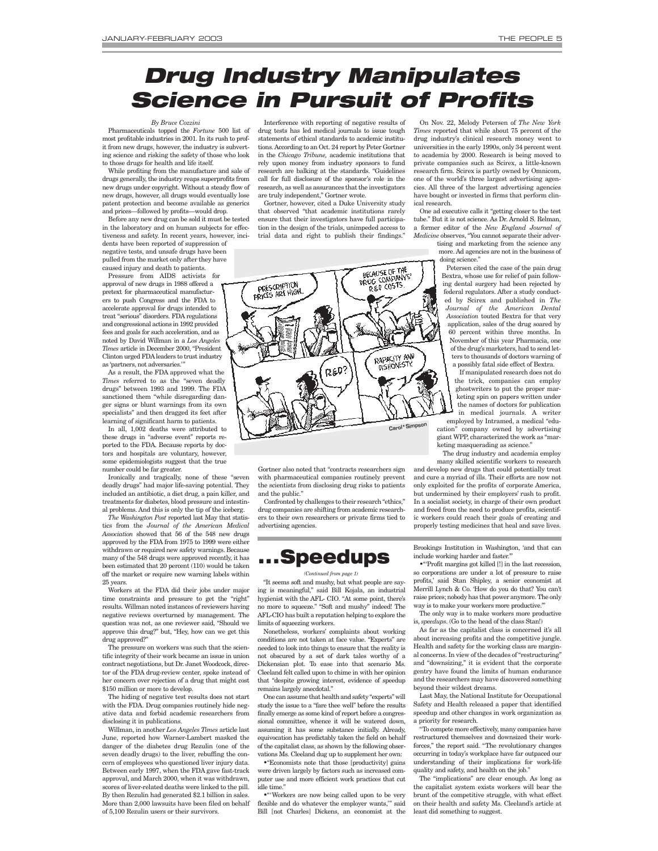# <span id="page-4-0"></span>*Drug Industry Manipulates Science in Pursuit of Profits*

#### *By Bruce Cozzini*

Pharmaceuticals topped the *Fortune* 500 list of most profitable industries in 2001. In its rush to profit from new drugs, however, the industry is subverting science and risking the safety of those who look to those drugs for health and life itself.

While profiting from the manufacture and sale of drugs generally, the industry reaps superprofits from new drugs under copyright. Without a steady flow of new drugs, however, all drugs would eventually lose patent protection and become available as generics and prices—followed by profits—would drop.

Before any new drug can be sold it must be tested in the laboratory and on human subjects for effectiveness and safety. In recent years, however, incidents have been reported of suppression of negative tests, and unsafe drugs have been pulled from the market only after they have caused injury and death to patients.

Pressure from AIDS activists for approval of new drugs in 1988 offered a pretext for pharmaceutical manufacturers to push Congress and the FDA to accelerate approval for drugs intended to treat "serious" disorders. FDA regulations and congressional actions in 1992 provided fees and goals for such acceleration, and as noted by David Willman in a *Los Angeles Times* article in December 2000, "President Clinton urged FDAleaders to trust industry as 'partners, not adversaries.'"

As a result, the FDA approved what the *Times* referred to as the "seven deadly drugs" between 1993 and 1999. The FDA sanctioned them "while disregarding danger signs or blunt warnings from its own specialists" and then dragged its feet after learning of significant harm to patients.

In all, 1,002 deaths were attributed to these drugs in "adverse event" reports reported to the FDA. Because reports by doctors and hospitals are voluntary, however, some epidemiologists suggest that the true number could be far greater.

Ironically and tragically, none of these "seven deadly drugs" had major life-saving potential. They included an antibiotic, a diet drug, a pain killer, and treatments for diabetes, blood pressure and intestinal problems. And this is only the tip of the iceberg.

*The Washington Post* reported last May that statistics from the *Journal of the American Medical Association* showed that 56 of the 548 new drugs approved by the FDA from 1975 to 1999 were either withdrawn or required new safety warnings. Because many of the 548 drugs were approved recently, it has been estimated that 20 percent (110) would be taken off the market or require new warning labels within 25 years.

Workers at the FDA did their jobs under major time constraints and pressure to get the "right" results. Willman noted instances of reviewers having negative reviews overturned by management. The question was not, as one reviewer said, "Should we approve this drug?" but, "Hey, how can we get this drug approved?"

The pressure on workers was such that the scientific integrity of their work became an issue in union contract negotiations, but Dr. Janet Woodcock, director of the FDA drug-review center, spoke instead of her concern over rejection of a drug that might cost \$150 million or more to develop.

The hiding of negative test results does not start with the FDA. Drug companies routinely hide negative data and forbid academic researchers from disclosing it in publications.

Willman, in another *Los Angeles Times* article last June, reported how Warner-Lambert masked the danger of the diabetes drug Rezulin (one of the seven deadly drugs) to the liver, rebuffing the concern of employees who questioned liver injury data. Between early 1997, when the FDA gave fast-track approval, and March 2000, when it was withdrawn, scores of liver-related deaths were linked to the pill. By then Rezulin had generated \$2.1 billion in sales. More than 2,000 lawsuits have been filed on behalf of 5,100 Rezulin users or their survivors.

Interference with reporting of negative results of drug tests has led medical journals to issue tough statements of ethical standards to academic institutions. According to an Oct. 24 report by Peter Gortner in the *Chicago Tribune,* academic institutions that rely upon money from industry sponsors to fund research are balking at the standards. "Guidelines call for full disclosure of the sponsor's role in the research, as well as assurances that the investigators are truly independent," Gortner wrote.

Gortner, however, cited a Duke University study that observed "that academic institutions rarely ensure that their investigators have full participation in the design of the trials, unimpeded access to trial data and right to publish their findings."



Gortner also noted that "contracts researchers sign with pharmaceutical companies routinely prevent the scientists from disclosing drug risks to patients and the public."

Confronted by challenges to their research "ethics," drug companies are shifting from academic researchers to their own researchers or private firms tied to advertising agencies.



#### *(Continued from page 1)*

"It seems soft and mushy, but what people are saying is meaningful," said Bill Kojala, an industrial hygienist with the AFL- CIO. "At some point, there's no more to squeeze." "Soft and mushy" indeed! The AFL-CIO has built a reputation helping to explore the limits of squeezing workers.

Nonetheless, workers' complaints about working conditions are not taken at face value. "Experts" are needed to look into things to ensure that the reality is not obscured by a set of dark tales worthy of a Dickensian plot. To ease into that scenario Ms. Cleeland felt called upon to chime in with her opinion that "despite growing interest, evidence of speedup remains largely anecdotal."

One can assume that health and safety "experts" will study the issue to a "fare thee well" before the results finally emerge as some kind of report before a congressional committee, whence it will be watered down, assuming it has some substance initially. Already, equivocation has predictably taken the field on behalf of the capitalist class, as shown by the following observations Ms. Cleeland dug up to supplement her own:

•"Economists note that those [productivity] gains were driven largely by factors such as increased computer use and more efficient work practices that cut idle time."

•"'Workers are now being called upon to be very flexible and do whatever the employer wants,'" said Bill [not Charles] Dickens, an economist at the

On Nov. 22, Melody Petersen of *The New York Times* reported that while about 75 percent of the drug industry's clinical research money went to universities in the early 1990s, only 34 percent went to academia by 2000. Research is being moved to private companies such as Scirex, a little-known research firm. Scirex is partly owned by Omnicom, one of the world's three largest advertising agencies. All three of the largest advertising agencies have bought or invested in firms that perform clinical research.

One ad executive calls it "getting closer to the test tube." But it is not science. As Dr. Arnold S. Relman, a former editor of the *New England Journal of*

*Medicine* observes, "You cannot separate their advertising and marketing from the science any more. Ad agencies are not in the business of doing science."

Petersen cited the case of the pain drug Bextra, whose use for relief of pain following dental surgery had been rejected by federal regulators. After a study conducted by Scirex and published in *The Journal of the American Dental Association* touted Bextra for that very application, sales of the drug soared by 60 percent within three months. In November of this year Pharmacia, one of the drug's marketers, had to send letters to thousands of doctors warning of a possibly fatal side effect of Bextra.

If manipulated research does not do the trick, companies can employ ghostwriters to put the proper marketing spin on papers written under the names of doctors for publication in medical journals. A writer

employed by Intramed, a medical "education" company owned by advertising giant WPP, characterized the work as "marketing masquerading as science."

The drug industry and academia employ many skilled scientific workers to research and develop new drugs that could potentially treat and cure a myriad of ills. Their efforts are now not only exploited for the profits of corporate America, but undermined by their employers' rush to profit. In a socialist society, in charge of their own product

Brookings Institution in Washington, 'and that can include working harder and faster."

and freed from the need to produce profits, scientific workers could reach their goals of creating and properly testing medicines that heal and save lives.

•"'Profit margins got killed [!] in the last recession, so corporations are under a lot of pressure to raise profits,' said Stan Shipley, a senior economist at Merrill Lynch & Co. 'How do you do that? You can't raise prices; nobody has that power anymore. The only way is to make your workers more productive."

The only way is to make workers more productive is, *speedups*. (Go to the head of the class Stan!)

As far as the capitalist class is concerned it's all about increasing profits and the competitive jungle. Health and safety for the working class are marginal concerns. In view of the decades of "restructuring" and "downsizing," it is evident that the corporate gentry have found the limits of human endurance and the researchers may have discovered something beyond their wildest dreams.

Last May, the National Institute for Occupational Safety and Health released a paper that identified speedup and other changes in work organization as a priority for research.

To compete more effectively, many companies have restructured themselves and downsized their workforces," the report said. "The revolutionary changes occurring in today's workplace have far outpaced our understanding of their implications for work-life quality and safety, and health on the job."

The "implications" are clear enough. As long as the capitalist system exists workers will bear the brunt of the competitive struggle, with what effect on their health and safety Ms. Cleeland's article at least did something to suggest.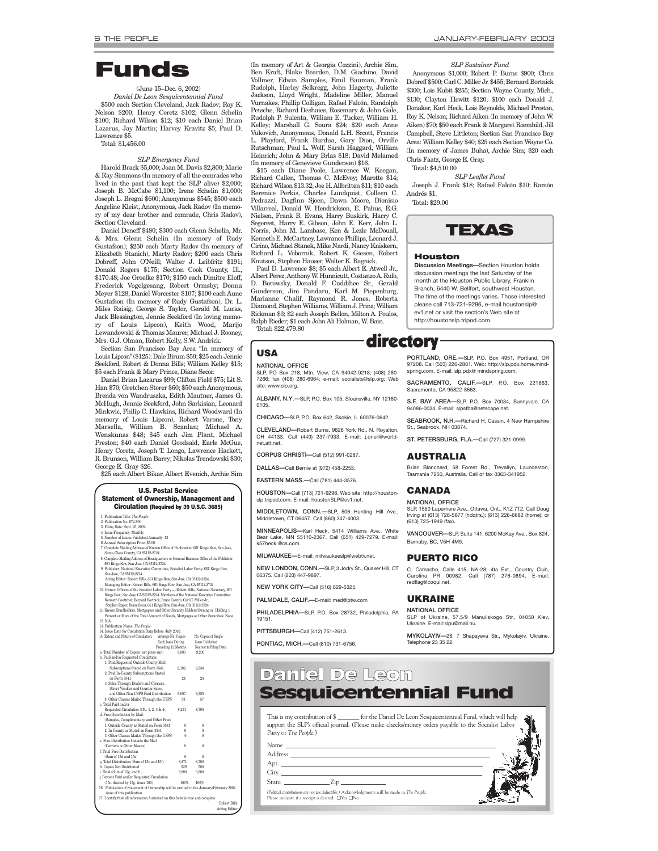## **Funds**

#### (June 15–Dec. 6, 2002)

*Daniel De Leon Sesquicentennial Fund* \$500 each Section Cleveland, Jack Radov; Roy K. Nelson \$200; Henry Coretz \$102; Glenn Schelin \$100; Richard Wilson \$12; \$10 each Daniel Brian Lazarus, Jay Martin; Harvey Kravitz \$5; Paul D. Lawrence \$5.

Total: \$1,456.00

#### *SLP Emergency Fund*

Harold Brack \$5,000; Joan M. Davis \$2,800; Marie & Ray Simmons (In memory of all the comrades who lived in the past that kept the SLP alive) \$2,000; Joseph B. McCabe \$1,100; Irene Schelin \$1,000; Joseph L. Bregni \$600; Anonymous \$545; \$500 each Angeline Kleist, Anonymous, Jack Radov (In memory of my dear brother and comrade, Chris Radov), Section Cleveland.

Daniel Deneff \$480; \$300 each Glenn Schelin, Mr. & Mrs. Glenn Schelin (In memory of Rudy Gustafson); \$250 each Marty Radov (In memory of Elizabeth Stanich), Marty Radov; \$200 each Chris Dobreff, John O'Neill; Walter J. Leibfritz \$191; Donald Rogers \$175; Section Cook County, Ill., \$170.48; Joe Groelke \$170; \$150 each Dimitre Eloff, Frederick Vogelgesang, Robert Ormsby; Donna Meyer \$128; Daniel Worcester \$107; \$100 each Aune Gustafson (In memory of Rudy Gustafson), Dr. L. Miles Raisig, George S. Taylor, Gerald M. Lucas, Jack Blessington, Jennie Seekford (In loving memory of Louis Lipcon), Keith Wood, Marijo Lewandowski & Thomas Maurer, Michael J. Rooney, Mrs. G.J. Olman, Robert Kelly, S.W. Andrick.

Section San Francisco Bay Area "In memory of Louis Lipcon" (\$125): Dale Birum \$50; \$25 each Jennie Seekford, Robert & Donna Bills; William Kelley \$15; \$5 each Frank & Mary Prince, Diane Secor.

Daniel Brian Lazarus \$99; Clifton Field \$75; Lit S. Han \$70; Gretchen Storer \$60; \$50 each Anonymous, Brenda von Wandruszka, Edith Mautner, James G. McHugh, Jennie Seekford, John Sarkisian, Leonard Minkwic, Philip C. Hawkins, Richard Woodward (In memory of Louis Lipcon), Robert Varone, Tony Marsella, William B. Scanlan; Michael A. Wenskunas \$48; \$45 each Jim Plant, Michael Preston; \$40 each Daniel Goodsaid, Earle McGue, Henry Coretz, Joseph T. Longo, Lawrence Hackett, R. Brunson, William Barry; Nikolas Trendowski \$30; George E. Gray \$26.

\$25 each Albert Bikar, Albert Evenich, Archie Sim

#### **U.S. Postal Service Statement of Ownership, Management and Circulation (Required by 39 U.S.C. 3685)**

|                            | 1. Publication Title: <i>The People</i>                                                  |          |                         |  |  |  |
|----------------------------|------------------------------------------------------------------------------------------|----------|-------------------------|--|--|--|
|                            | 2. Publication No. 672-900                                                               |          |                         |  |  |  |
|                            | 3. Filing Date: Sept. 25, 2002                                                           |          |                         |  |  |  |
|                            | 4. Issue Frequency: Monthly                                                              |          |                         |  |  |  |
|                            | 5. Number of Issues Published Annually: 12                                               |          |                         |  |  |  |
|                            | 6. Annual Subscription Price: \$5.00                                                     |          |                         |  |  |  |
|                            | 7. Complete Mailing Address of Known Office of Publication: 661 Kings Row, San Jose,     |          |                         |  |  |  |
|                            | Santa Clara County, CA 95112-2724                                                        |          |                         |  |  |  |
|                            | 8. Complete Mailing Address of Headquarters or General Business Office of the Publisher: |          |                         |  |  |  |
|                            | 661 Kings Row, San Jose, CA 95112-2724                                                   |          |                         |  |  |  |
|                            | 9. Publisher: National Executive Committee, Socialist Labor Party, 661 Kings Row,        |          |                         |  |  |  |
|                            | San Jose, CA 95112-2724                                                                  |          |                         |  |  |  |
|                            | Acting Editor: Robert Bills, 661 Kings Row, San Jose, CA 95112-2724                      |          |                         |  |  |  |
|                            | Managing Editor: Robert Bills, 661 Kings Row, San Jose, CA 95112-2724                    |          |                         |  |  |  |
|                            | 10. Owner: Officers of the Socialist Labor Party - Robert Bills, National Secretary, 661 |          |                         |  |  |  |
|                            | Kings Row., San Jose, CA 95112-2724. Members of the National Executive Committee:        |          |                         |  |  |  |
|                            | Kenneth Boettcher, Bernard Bortnick, Bruce Cozzini, Carl C. Miller Jr.,                  |          |                         |  |  |  |
|                            | Stephen Raper, Diane Secor, 661 Kings Row, San Jose, CA 95112-2724                       |          |                         |  |  |  |
|                            | 11. Known Bondholders, Mortgagees and Other Security Holders Owning or Holding 1         |          |                         |  |  |  |
|                            | Percent or More of the Total Amount of Bonds, Mortgages or Other Securities: None.       |          |                         |  |  |  |
|                            | 12. N/A                                                                                  |          |                         |  |  |  |
|                            | 13. Publication Name: The People                                                         |          |                         |  |  |  |
|                            | 14. Issue Date for Circulation Data Below: July 2002                                     |          |                         |  |  |  |
|                            | 15. Extent and Nature of Circulation:<br>Average No. Copies                              |          | No. Copies of Single    |  |  |  |
|                            | Each Issue During                                                                        |          | Issue Published         |  |  |  |
|                            | Preceding 12 Months.                                                                     |          | Nearest to Filing Date. |  |  |  |
|                            | a. Total Number of Copies (net press run)                                                | 8.800    | 9,200                   |  |  |  |
|                            | b. Paid and/or Requested Circulation:                                                    |          |                         |  |  |  |
|                            | 1. Paid/Requested Outside-County Mail                                                    |          |                         |  |  |  |
|                            | Subscriptions Stated on Form 3541.                                                       | 2,182    | 2,234                   |  |  |  |
|                            | 2. Paid In-County Subscriptions Stated                                                   | 94       |                         |  |  |  |
|                            | on Form 3541                                                                             |          | 24                      |  |  |  |
|                            | 3. Sales Through Dealers and Carriers,<br>Street Vendors and Counter Sales.              |          |                         |  |  |  |
|                            | and Other Non-USPS Paid Distribution                                                     | 6,007    | 6.385                   |  |  |  |
|                            | 4. Other Classes Mailed Through the USPS                                                 | 58       | 57                      |  |  |  |
|                            | c. Total Paid and/or                                                                     |          |                         |  |  |  |
|                            | Requested Circulation (15b. 1, 2, 3 & 4):                                                | 8,271    | 8,700                   |  |  |  |
|                            | d. Free Distribution by Mail:                                                            |          |                         |  |  |  |
|                            | (Samples, Complimentary, and Other Free)                                                 |          |                         |  |  |  |
|                            | 1. Outside-County as Stated on Form 3541                                                 | $\bf{0}$ | 0                       |  |  |  |
|                            | 2. In-County as Stated on Form 3541                                                      | 0        | $\bf{0}$                |  |  |  |
|                            | 3. Other Classes Mailed Through the USPS                                                 | 0        | $\bf{0}$                |  |  |  |
|                            | e. Free Distribution Outside the Mail                                                    |          |                         |  |  |  |
|                            | (Carriers or Other Means)                                                                | $\bf{0}$ | $\ddot{0}$              |  |  |  |
|                            | f Total Free Distribution                                                                |          |                         |  |  |  |
|                            | (Sum of 15d and 15e)                                                                     | 0        | 0                       |  |  |  |
|                            | g. Total Distribution (Sum of 15c and 15f):                                              | 8,271    | 8,700                   |  |  |  |
|                            | h. Copies Not Distributed:                                                               | 529      | 500                     |  |  |  |
|                            | i. Total (Sum of 15g. and h.)                                                            | 8,800    | 9,200                   |  |  |  |
|                            | j. Percent Paid and/or Requested Circulation                                             |          |                         |  |  |  |
|                            | (15c. divided by 15g. times 100)                                                         | 100%     | 100%                    |  |  |  |
|                            | 16. Publication of Statement of Ownership will be printed in the January/February 200    |          |                         |  |  |  |
| issue of this publication. |                                                                                          |          |                         |  |  |  |
|                            | 17. I certify that all information furnished on this form is true and complete.          |          |                         |  |  |  |

<sup>1</sup>ary 2002 Robert Bill Acting Edit

(In memory of Art & Georgia Cozzini), Archie Sim, Ben Kraft, Blake Bearden, D.M. Giachino, David Vollmer, Edwin Samples, Emil Bauman, Frank Rudolph, Harley Selkregg, John Hagerty, Juliette Jackson, Lloyd Wright, Madeline Miller, Manuel Vurnakes, Phillip Colligan, Rafael Falcón, Randolph Petsche, Richard Deshaies, Rosemary & John Gale, Rudolph P. Sulenta, William E. Tucker, William H. Kelley; Marshall G. Soura \$24; \$20 each Anne Vukovich, Anonymous, Donald L.H. Sccott, Francis L. Playford, Frank Burdua, Gary Dion, Orville Rutschman, Paul L. Wolf, Sarah Haggard, William Heinrich; John & Mary Brlas \$18; David Melamed (In memory of Genevieve Gunderson) \$16.

\$15 each Diane Poole, Lawrence W. Keegan, Richard Callen, Thomas C. McEvoy; Marotte \$14; Richard Vilson \$13.32; Joe H. Allbritten \$11; \$10 each Berenice Perkis, Charles Lundquist, Colleen C. Pedrazzi, Dagfinn Sjoen, Dawn Moore, Dionisio Villarreal, Donald W. Hendrickson, E. Pahus, E.G. Nielsen, Frank B. Evans, Harry Buskirk, Harry C. Segerest, Harry E. Gibson, John E. Kerr, John L. Norris, John M. Lambase, Ken & Lezle McDouall, Kenneth E. McCartney, Lawrance Phillips, Leonard J. Cirino, Michael Stanek, Mike Nardi, Nancy Kniskern, Richard L. Vobornik, Robert K. Giesen, Robert Knutson, Stephen Hauser, Walter K. Bagnick.

Paul D. Lawrence \$8; \$5 each Albert E. Atwell Jr., Albert Perez, Anthony W. Hunnicutt, Costanzo A. Rufo, D. Borowsky, Donald F. Cuddihee Sr., Gerald Gunderson, Jim Pandaru, Karl M. Piepenburg, Marianne Chalif, Raymond R. Jones, Roberta Diamond, Stephen Williams, William J. Prinz; William Rickman \$3; \$2 each Joseph Bellon, Milton A. Poulos, Ralph Rieder; \$1 each John Ali Holman, W. Bain. Total: \$22,479.80

#### **NATIONAL OFFICE**

SLP, PO Box 218, Mtn. View, CA 94042-0218; (408) 280- 7266; fax (408) 280-6964; e-mail: socialists@slp.org; Web site: www.slp.org.

**ALBANY, N.Y**.—SLP, P.O. Box 105, Sloansville, NY 12160-  $0105$ 

**CHICAGO—**SLP, P.O. Box 642, Skokie, IL 60076-0642.

**CLEVELAND—**Robert Burns, 9626 York Rd., N. Royalton, OH 44133. Call (440) 237-7933. E-mail: j.oneil@worldnet.att.net.

**CORPUS CHRISTI—**Call (512) 991-0287.

**DALLAS—**Call Bernie at (972) 458-2253.

**EASTERN MASS.—**Call (781) 444-3576.

**HOUSTON—**Call (713) 721-9296. Web site: http://houstonslp.tripod.com. E-mail: houstonSLP@ev1.net.

**MIDDLETOWN, CONN.—**SLP, 506 Hunting Hill Ave., Middletown, CT 06457. Call (860) 347-4003.

**MINNEAPOLIS—**Karl Heck, 5414 Williams Ave., White Bear Lake, MN 55110-2367. Call (651) 429-7279. E-mail: k57heck @cs.com.

**MILWAUKEE—**E-mail: milwaukeeslp@webtv.net.

**NEW LONDON, CONN.—**SLP, 3 Jodry St., Quaker Hill, CT 06375. Call (203) 447-9897.

**NEW YORK CITY—**Call (516) 829-5325.

**PALMDALE, CALIF.—**E-mail: med@ptw.com

**PHILADELPHIA—**SLP, P.O. Box 28732, Philadelphia, PA 19151.

**PITTSBURGH—**Call (412) 751-2613.

**PONTIAC, MICH.—**Call (810) 731-6756.

#### *SLP Sustainer Fund*

Anonymous \$1,000; Robert P. Burns \$900; Chris Dobreff \$500; Carl C. Miller Jr. \$455; Bernard Bortnick \$300; Lois Kubit \$255; Section Wayne County, Mich. \$130; Clayton Hewitt \$120; \$100 each Donald J. Donaker, Karl Heck, Lois Reynolds, Michael Preston, Roy K. Nelson; Richard Aiken (In memory of John W. Aiken) \$70; \$50 each Frank & Margaret Roemhild, Jill Campbell, Steve Littleton; Section San Francisco Bay Area: William Kelley \$40; \$25 each Section Wayne Co. (In memory of James Buha), Archie Sim; \$20 each Chris Faatz, George E. Gray.

Total: \$4,510.00 *SLP Leaflet Fund*

Joseph J. Frank \$18; Rafael Falcón \$10; Ramón Andrés \$1.

Total: \$29.00



#### **Houston**

**Discussion Meetings—**Section Houston holds discussion meetings the last Saturday of the month at the Houston Public Library, Franklin Branch, 6440 W. Bellfort, southwest Houston. The time of the meetings varies. Those interested please call 713-721-9296, e-mail houstonslp@ ev1.net or visit the section's Web site at http://houstonslp.tripod.com.

<u>usa</u> directory **PORTLAND, ORE.—**SLP, P.O. Box 4951, Portland, OR 97208. Call (503) 226-2881. Web: http://slp.pdx.home.mindspring.com. E-mail: slp.pdx@ mindspring.co

> **SACRAMENTO, CALIF.—**SLP, P.O. Box 221663, Sacramento, CA 95822-8663.

> **S.F. BAY AREA—**SLP, P.O. Box 70034, Sunnyvale, CA 94086-0034. E-mail: slpsfba@netscape.net.

> **SEABROOK, N.H.—**Richard H. Cassin, 4 New Hampshire St., Seabrook, NH 03874.

**ST. PETERSBURG, FLA.—**Call (727) 321-0999.

#### **AUSTRALIA**

Brian Blanchard, 58 Forest Rd., Trevallyn, Launceston, Tasmania 7250, Australia. Call or fax 0363-341952.

#### **CANADA**

**NATIONAL OFFICE**

SLP, 1550 Laperriere Ave., Ottawa, Ont., K1Z 7T2. Call Doug Irving at (613) 728-5877 (hdqtrs.); (613) 226-6682 (home); or (613) 725-1949 (fax).

**VANCOUVER—**SLP, Suite 141, 6200 McKay Ave., Box 824, Burnaby, BC, V5H 4M9.

#### **PUERTO RICO**

C. Camacho, Calle 415, NA-28, 4ta Ext., Country Club, Carolina PR 00982. Call (787) 276-0894. E-mail: redflag@coqui.net.

#### **UKRAINE**

**NATIONAL OFFICE** SLP of Ukraine, 57,5/9 Manuilskogo Str., 04050 Kiev, Ukraine. E-mail:slpu@mail.nu.

**MYKOLAYIV—**28, 7 Shapayeva Str., Mykolayiv, Ukraine. Telephone 23 35 22.



*(Political contributions are not tax deductible.)* Acknowledgments will be made in *The People*.

Please indicate if a receipt is desired: ❑ Yes ❑ No

State Zip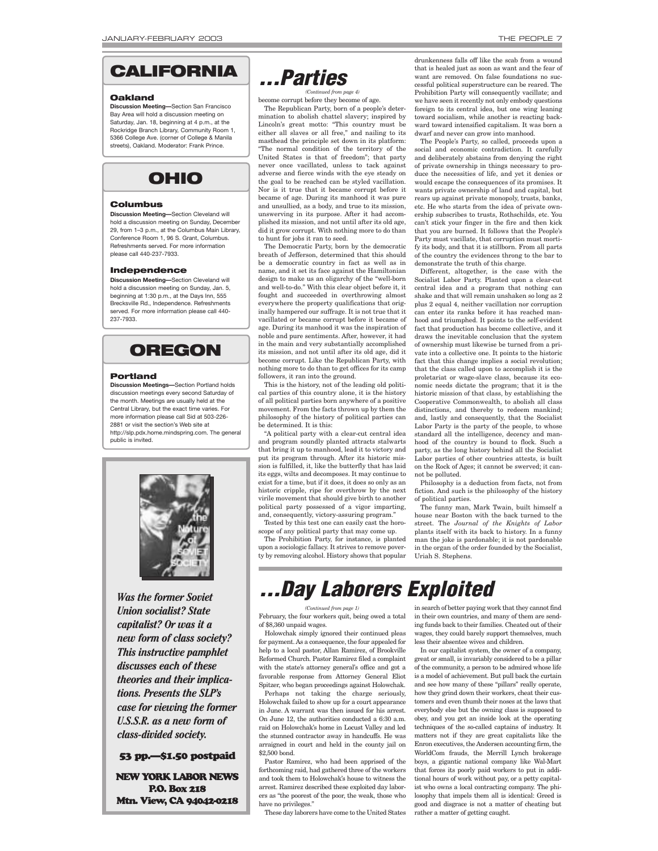

#### **Oakland**

**Discussion Meeting—**Section San Francisco Bay Area will hold a discussion meeting on Saturday, Jan. 18, beginning at 4 p.m., at the Rockridge Branch Library, Community Room 1, 5366 College Ave. (corner of College & Manila streets), Oakland. Moderator: Frank Prince.



#### **Columbus**

**Discussion Meeting—**Section Cleveland will hold a discussion meeting on Sunday, December 29, from 1–3 p.m., at the Columbus Main Library, Conference Room 1, 96 S. Grant, Columbus. Refreshments served. For more information please call 440-237-7933.

#### **Independence**

**Discussion Meeting—**Section Cleveland will hold a discussion meeting on Sunday, Jan. 5, beginning at 1:30 p.m., at the Days Inn, 555 Brecksville Rd., Independence. Refreshments served. For more information please call 440- 237-7933.

### **OREGON**

#### **Portland**

**Discussion Meetings—**Section Portland holds discussion meetings every second Saturday of the month. Meetings are usually held at the Central Library, but the exact time varies. For more information please call Sid at 503-226- 2881 or visit the section's Web site at http://slp.pdx.home.mindspring.com. The general public is invited.



*Was the former Soviet Union socialist? State capitalist? Or was it a new form of class society? This instructive pamphlet discusses each of these theories and their implications. Presents the SLP's case for viewing the former U.S.S.R. as a new form of class-divided society.*

53 pp.—\$1.50 postpaid

NEW YORK LABOR NEWS P.O. Box 218 Mtn. View, CA 94042-0218 *. . . Parties*

become corrupt before they become of age. *(Continued from page 4)*

The Republican Party, born of a people's determination to abolish chattel slavery; inspired by Lincoln's great motto: "This country must be either all slaves or all free," and nailing to its masthead the principle set down in its platform: "The normal condition of the territory of the United States is that of freedom"; that party never once vacillated, unless to tack against adverse and fierce winds with the eye steady on the goal to be reached can be styled vacillation. Nor is it true that it became corrupt before it became of age. During its manhood it was pure and unsullied, as a body, and true to its mission, unswerving in its purpose. After it had accomplished its mission, and not until after its old age, did it grow corrupt. With nothing more to do than to hunt for jobs it ran to seed.

The Democratic Party, born by the democratic breath of Jefferson, determined that this should be a democratic country in fact as well as in name, and it set its face against the Hamiltonian design to make us an oligarchy of the "well-born and well-to-do." With this clear object before it, it fought and succeeded in overthrowing almost everywhere the property qualifications that originally hampered our suffrage. It is not true that it vacillated or became corrupt before it became of age. During its manhood it was the inspiration of noble and pure sentiments. After, however, it had in the main and very substantially accomplished its mission, and not until after its old age, did it become corrupt. Like the Republican Party, with nothing more to do than to get offices for its camp followers, it ran into the ground.

This is the history, not of the leading old political parties of this country alone, it is the history of all political parties born anywhere of a positive movement. From the facts thrown up by them the philosophy of the history of political parties can be determined. It is this:

"A political party with a clear-cut central idea and program soundly planted attracts stalwarts that bring it up to manhood, lead it to victory and put its program through. After its historic mission is fulfilled, it, like the butterfly that has laid its eggs, wilts and decomposes. It may continue to exist for a time, but if it does, it does so only as an historic cripple, ripe for overthrow by the next virile movement that should give birth to another political party possessed of a vigor imparting, and, consequently, victory-assuring program.

Tested by this test one can easily cast the horoscope of any political party that may come up.

The Prohibition Party, for instance, is planted upon a sociologic fallacy. It strives to remove poverty by removing alcohol. History shows that popular drunkenness falls off like the scab from a wound that is healed just as soon as want and the fear of want are removed. On false foundations no successful political superstructure can be reared. The Prohibition Party will consequently vacillate; and we have seen it recently not only embody questions foreign to its central idea, but one wing leaning toward socialism, while another is reacting backward toward intensified capitalism. It was born a dwarf and never can grow into manhood.

The People's Party, so called, proceeds upon a social and economic contradiction. It carefully and deliberately abstains from denying the right of private ownership in things necessary to produce the necessities of life, and yet it denies or would escape the consequences of its promises. It wants private ownership of land and capital, but rears up against private monopoly, trusts, banks, etc. He who starts from the idea of private ownership subscribes to trusts, Rothschilds, etc. You can't stick your finger in the fire and then kick that you are burned. It follows that the People's Party must vacillate, that corruption must mortify its body, and that it is stillborn. From all parts of the country the evidences throng to the bar to demonstrate the truth of this charge.

Different, altogether, is the case with the Socialist Labor Party. Planted upon a clear-cut central idea and a program that nothing can shake and that will remain unshaken so long as 2 plus 2 equal 4, neither vacillation nor corruption can enter its ranks before it has reached manhood and triumphed. It points to the self-evident fact that production has become collective, and it draws the inevitable conclusion that the system of ownership must likewise be turned from a private into a collective one. It points to the historic fact that this change implies a social revolution; that the class called upon to accomplish it is the proletariat or wage-slave class, because its economic needs dictate the program; that it is the historic mission of that class, by establishing the Cooperative Commonwealth, to abolish all class distinctions, and thereby to redeem mankind; and, lastly and consequently, that the Socialist Labor Party is the party of the people, to whose standard all the intelligence, decency and manhood of the country is bound to flock. Such a party, as the long history behind all the Socialist Labor parties of other countries attests, is built on the Rock of Ages; it cannot be swerved; it cannot be polluted.

Philosophy is a deduction from facts, not from fiction. And such is the philosophy of the history of political parties.

The funny man, Mark Twain, built himself a house near Boston with the back turned to the street. The *Journal of the Knights of Labor* plants itself with its back to history. In a funny man the joke is pardonable; it is not pardonable in the organ of the order founded by the Socialist, Uriah S. Stephens.

## *. . . Day Laborers Exploited*

*(Continued from page 1)*

February, the four workers quit, being owed a total of \$8,360 unpaid wages.

Holowchak simply ignored their continued pleas for payment. As a consequence, the four appealed for help to a local pastor, Allan Ramirez, of Brookville Reformed Church. Pastor Ramirez filed a complaint with the state's attorney general's office and got a favorable response from Attorney General Eliot Spitzer, who began proceedings against Holowchak.

Perhaps not taking the charge seriously, Holowchak failed to show up for a court appearance in June. A warrant was then issued for his arrest. On June 12, the authorities conducted a 6:30 a.m. raid on Holowchak's home in Locust Valley and led the stunned contractor away in handcuffs. He was arraigned in court and held in the county jail on \$2,500 bond.

Pastor Ramirez, who had been apprised of the forthcoming raid, had gathered three of the workers and took them to Holowchak's house to witness the arrest. Ramirez described these exploited day laborers as "the poorest of the poor, the weak, those who have no privileges."

These day laborers have come to the United States

in search of better paying work that they cannot find in their own countries, and many of them are sending funds back to their families. Cheated out of their wages, they could barely support themselves, much less their absentee wives and children.

In our capitalist system, the owner of a company, great or small, is invariably considered to be a pillar of the community, a person to be admired whose life is a model of achievement. But pull back the curtain and see how many of these "pillars" really operate, how they grind down their workers, cheat their customers and even thumb their noses at the laws that everybody else but the owning class is supposed to obey, and you get an inside look at the operating techniques of the so-called captains of industry. It matters not if they are great capitalists like the Enron executives, the Andersen accounting firm, the WorldCom frauds, the Merrill Lynch brokerage boys, a gigantic national company like Wal-Mart that forces its poorly paid workers to put in additional hours of work without pay, or a petty capitalist who owns a local contracting company. The philosophy that impels them all is identical: Greed is good and disgrace is not a matter of cheating but rather a matter of getting caught.